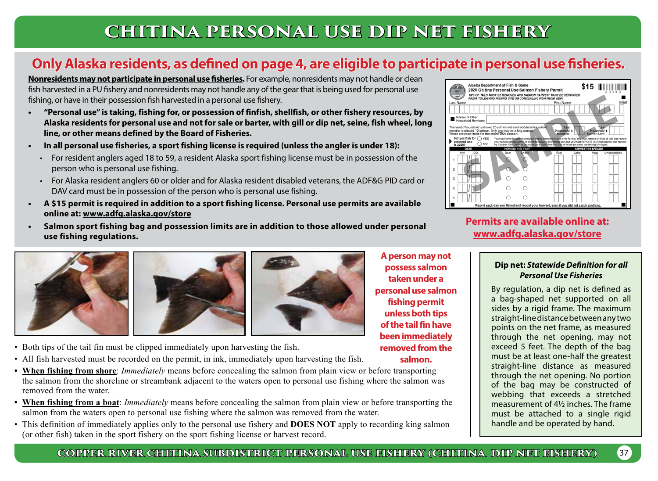# **CHITINA PERSONAL USE DIP NET FISHERY**

## **Only Alaska residents, as defined on page 4, are eligible to participate in personal use fisheries.**

**Nonresidents may not participate in personal use fisheries.** For example, nonresidents may not handle or clean fish harvested in a PU fishery and nonresidents may not handle any of the gear that is being used for personal use fishing, or have in their possession fish harvested in a personal use fishery.

- **• "Personal use" is taking, fishing for, or possession of finfish, shellfish, or other fishery resources, by Alaska residents for personal use and not for sale or barter, with gill or dip net, seine, fish wheel, long line, or other means defined by the Board of Fisheries.**
- **• In all personal use fisheries, a sport fishing license is required (unless the angler is under 18):**
	- For resident anglers aged 18 to 59, a resident Alaska sport fishing license must be in possession of the person who is personal use fishing.
	- For Alaska resident anglers 60 or older and for Alaska resident disabled veterans, the ADF&G PID card or DAV card must be in possession of the person who is personal use fishing.
- **• A \$15 permit is required in addition to a sport fishing license. Personal use permits are available online at: www.adfg.alaska.gov/store**
- **• Salmon sport fishing bag and possession limits are in addition to those allowed under personal use fishing regulations.**





- Both tips of the tail fin must be clipped immediately upon harvesting the fish.
- All fish harvested must be recorded on the permit, in ink, immediately upon harvesting the fish.
- **• When fishing from shore**: *Immediately* means before concealing the salmon from plain view or before transporting the salmon from the shoreline or streambank adjacent to the waters open to personal use fishing where the salmon was removed from the water.
- **• When fishing from a boat**: *Immediately* means before concealing the salmon from plain view or before transporting the salmon from the waters open to personal use fishing where the salmon was removed from the water.
- This definition of immediately applies only to the personal use fishery and **DOES NOT** apply to recording king salmon (or other fish) taken in the sport fishery on the sport fishing license or harvest record.

Alaska Department of Fish & Game \$15 ∥ 2020 Chitina Personal Use Salmon Fishery Permit **SAMPLE** 

## **Permits are available online at: www.adfg.alaska.gov/store**

#### **Dip net:** *Statewide Definition for all Personal Use Fisheries*

By regulation, a dip net is defined as a bag-shaped net supported on all sides by a rigid frame. The maximum straight-line distance between any two points on the net frame, as measured through the net opening, may not exceed 5 feet. The depth of the bag must be at least one-half the greatest straight-line distance as measured through the net opening. No portion of the bag may be constructed of webbing that exceeds a stretched measurement of 4½ inches. The frame must be attached to a single rigid handle and be operated by hand.

### **COPPER RIVER CHITINA SUBDISTRICT PERSONAL USE FISHERY (CHITINA DIP NET FISHERY)** 37

**A person may not possess salmon taken under a personal use salmon fishing permit unless both tips of the tail fin have been immediately removed from the salmon.**